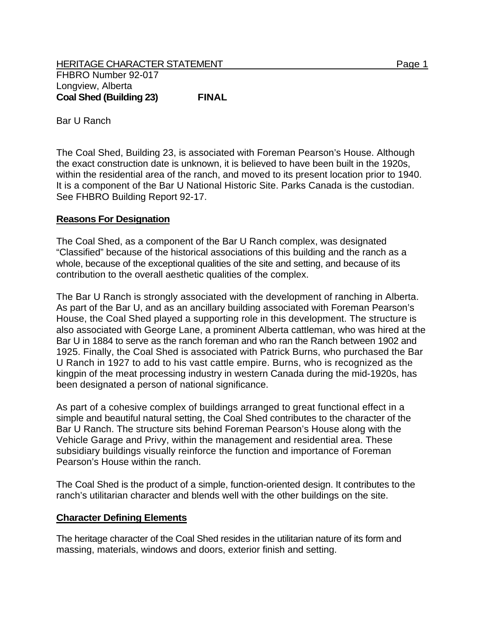HERITAGE CHARACTER STATEMENT FRIELD FOR A STATEMENT AND RAGE 1 FHBRO Number 92-017 Longview, Alberta **Coal Shed (Building 23) FINAL** 

Bar U Ranch

The Coal Shed, Building 23, is associated with Foreman Pearson's House. Although the exact construction date is unknown, it is believed to have been built in the 1920s, within the residential area of the ranch, and moved to its present location prior to 1940. It is a component of the Bar U National Historic Site. Parks Canada is the custodian. See FHBRO Building Report 92-17.

## **Reasons For Designation**

The Coal Shed, as a component of the Bar U Ranch complex, was designated "Classified" because of the historical associations of this building and the ranch as a whole, because of the exceptional qualities of the site and setting, and because of its contribution to the overall aesthetic qualities of the complex.

The Bar U Ranch is strongly associated with the development of ranching in Alberta. As part of the Bar U, and as an ancillary building associated with Foreman Pearson's House, the Coal Shed played a supporting role in this development. The structure is also associated with George Lane, a prominent Alberta cattleman, who was hired at the Bar U in 1884 to serve as the ranch foreman and who ran the Ranch between 1902 and 1925. Finally, the Coal Shed is associated with Patrick Burns, who purchased the Bar U Ranch in 1927 to add to his vast cattle empire. Burns, who is recognized as the kingpin of the meat processing industry in western Canada during the mid-1920s, has been designated a person of national significance.

As part of a cohesive complex of buildings arranged to great functional effect in a simple and beautiful natural setting, the Coal Shed contributes to the character of the Bar U Ranch. The structure sits behind Foreman Pearson's House along with the Vehicle Garage and Privy, within the management and residential area. These subsidiary buildings visually reinforce the function and importance of Foreman Pearson's House within the ranch.

The Coal Shed is the product of a simple, function-oriented design. It contributes to the ranch's utilitarian character and blends well with the other buildings on the site.

## **Character Defining Elements**

The heritage character of the Coal Shed resides in the utilitarian nature of its form and massing, materials, windows and doors, exterior finish and setting.